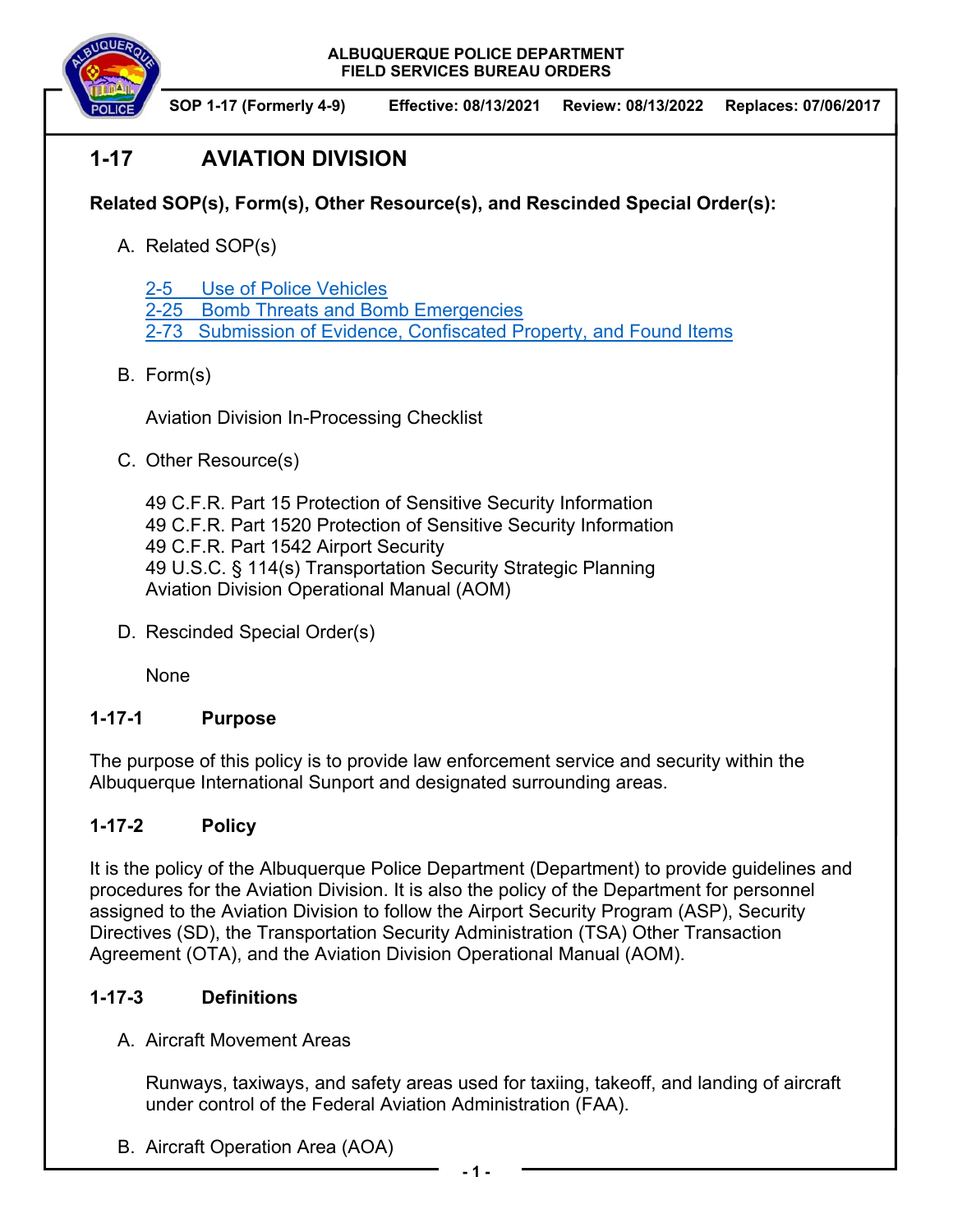

# **1-17 AVIATION DIVISION**

# **Related SOP(s), Form(s), Other Resource(s), and Rescinded Special Order(s):**

A. Related SOP(s)

2-5 Use of Police Vehicles

2-25 Bomb Threats and Bomb Emergencies

2-73 Submission of Evidence, Confiscated Property, and Found Items

## B. Form(s)

Aviation Division In-Processing Checklist

C. Other Resource(s)

 49 C.F.R. Part 15 Protection of Sensitive Security Information 49 C.F.R. Part 1520 Protection of Sensitive Security Information 49 C.F.R. Part 1542 Airport Security 49 U.S.C. § 114(s) Transportation Security Strategic Planning Aviation Division Operational Manual (AOM)

D. Rescinded Special Order(s)

None

### **1-17-1 Purpose**

The purpose of this policy is to provide law enforcement service and security within the Albuquerque International Sunport and designated surrounding areas.

# **1-17-2 Policy**

It is the policy of the Albuquerque Police Department (Department) to provide guidelines and procedures for the Aviation Division. It is also the policy of the Department for personnel assigned to the Aviation Division to follow the Airport Security Program (ASP), Security Directives (SD), the Transportation Security Administration (TSA) Other Transaction Agreement (OTA), and the Aviation Division Operational Manual (AOM).

### **1-17-3 Definitions**

A. Aircraft Movement Areas

Runways, taxiways, and safety areas used for taxiing, takeoff, and landing of aircraft under control of the Federal Aviation Administration (FAA).

B. Aircraft Operation Area (AOA)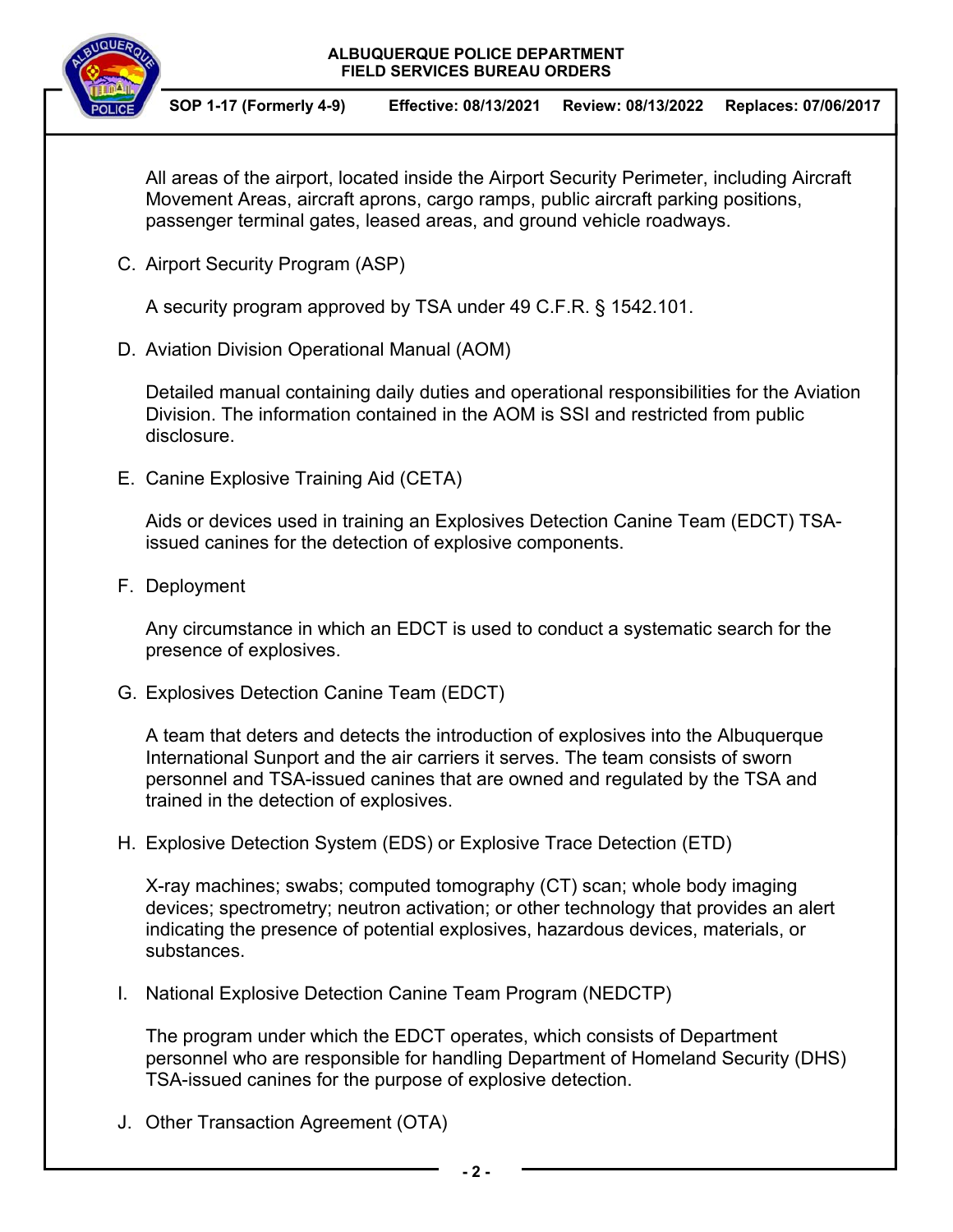

All areas of the airport, located inside the Airport Security Perimeter, including Aircraft Movement Areas, aircraft aprons, cargo ramps, public aircraft parking positions, passenger terminal gates, leased areas, and ground vehicle roadways.

C. Airport Security Program (ASP)

A security program approved by TSA under 49 C.F.R. § 1542.101.

D. Aviation Division Operational Manual (AOM)

Detailed manual containing daily duties and operational responsibilities for the Aviation Division. The information contained in the AOM is SSI and restricted from public disclosure.

E. Canine Explosive Training Aid (CETA)

Aids or devices used in training an Explosives Detection Canine Team (EDCT) TSAissued canines for the detection of explosive components.

F. Deployment

Any circumstance in which an EDCT is used to conduct a systematic search for the presence of explosives.

G. Explosives Detection Canine Team (EDCT)

A team that deters and detects the introduction of explosives into the Albuquerque International Sunport and the air carriers it serves. The team consists of sworn personnel and TSA-issued canines that are owned and regulated by the TSA and trained in the detection of explosives.

H. Explosive Detection System (EDS) or Explosive Trace Detection (ETD)

X-ray machines; swabs; computed tomography (CT) scan; whole body imaging devices; spectrometry; neutron activation; or other technology that provides an alert indicating the presence of potential explosives, hazardous devices, materials, or substances.

I. National Explosive Detection Canine Team Program (NEDCTP)

The program under which the EDCT operates, which consists of Department personnel who are responsible for handling Department of Homeland Security (DHS) TSA-issued canines for the purpose of explosive detection.

J. Other Transaction Agreement (OTA)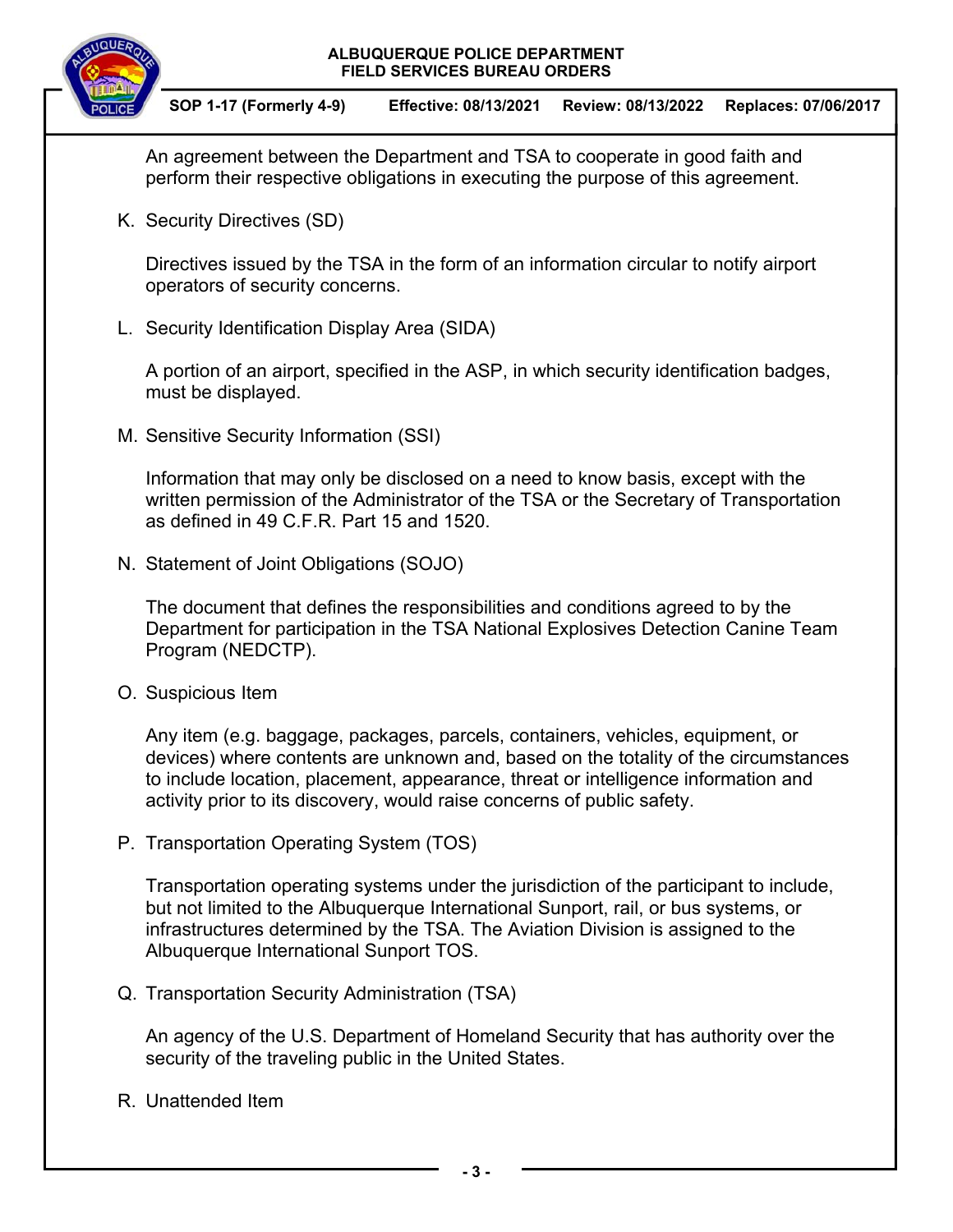

An agreement between the Department and TSA to cooperate in good faith and perform their respective obligations in executing the purpose of this agreement.

K. Security Directives (SD)

Directives issued by the TSA in the form of an information circular to notify airport operators of security concerns.

L. Security Identification Display Area (SIDA)

A portion of an airport, specified in the ASP, in which security identification badges, must be displayed.

M. Sensitive Security Information (SSI)

Information that may only be disclosed on a need to know basis, except with the written permission of the Administrator of the TSA or the Secretary of Transportation as defined in 49 C.F.R. Part 15 and 1520.

N. Statement of Joint Obligations (SOJO)

The document that defines the responsibilities and conditions agreed to by the Department for participation in the TSA National Explosives Detection Canine Team Program (NEDCTP).

O. Suspicious Item

Any item (e.g. baggage, packages, parcels, containers, vehicles, equipment, or devices) where contents are unknown and, based on the totality of the circumstances to include location, placement, appearance, threat or intelligence information and activity prior to its discovery, would raise concerns of public safety.

P. Transportation Operating System (TOS)

Transportation operating systems under the jurisdiction of the participant to include, but not limited to the Albuquerque International Sunport, rail, or bus systems, or infrastructures determined by the TSA. The Aviation Division is assigned to the Albuquerque International Sunport TOS.

Q. Transportation Security Administration (TSA)

An agency of the U.S. Department of Homeland Security that has authority over the security of the traveling public in the United States.

R. Unattended Item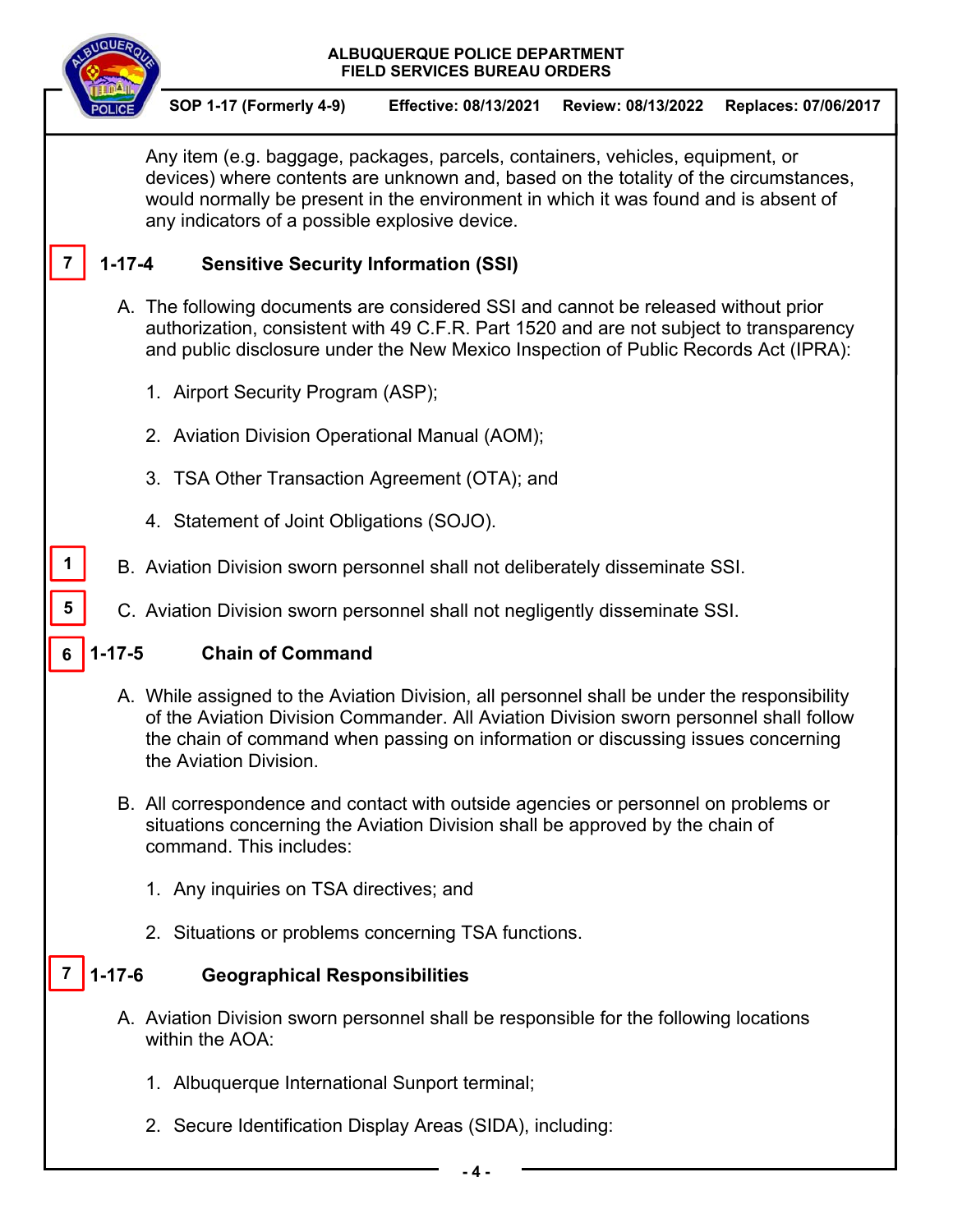

**1** 

**5** 

**SOP 1-17 (Formerly 4-9) Effective: 08/13/2021 Review: 08/13/2022 Replaces: 07/06/2017** 

Any item (e.g. baggage, packages, parcels, containers, vehicles, equipment, or devices) where contents are unknown and, based on the totality of the circumstances, would normally be present in the environment in which it was found and is absent of any indicators of a possible explosive device.

#### **1-17-4 Sensitive Security Information (SSI) 7**

- A. The following documents are considered SSI and cannot be released without prior authorization, consistent with 49 C.F.R. Part 1520 and are not subject to transparency and public disclosure under the New Mexico Inspection of Public Records Act (IPRA):
	- 1. Airport Security Program (ASP);
	- 2. Aviation Division Operational Manual (AOM);
	- 3. TSA Other Transaction Agreement (OTA); and
	- 4. Statement of Joint Obligations (SOJO).
- B. Aviation Division sworn personnel shall not deliberately disseminate SSI.
	- C. Aviation Division sworn personnel shall not negligently disseminate SSI.

#### **1-17-5 Chain of Command 6**

- A. While assigned to the Aviation Division, all personnel shall be under the responsibility of the Aviation Division Commander. All Aviation Division sworn personnel shall follow the chain of command when passing on information or discussing issues concerning the Aviation Division.
- B. All correspondence and contact with outside agencies or personnel on problems or situations concerning the Aviation Division shall be approved by the chain of command. This includes:
	- 1. Any inquiries on TSA directives; and
	- 2. Situations or problems concerning TSA functions.

#### **1-17-6 Geographical Responsibilities 7**

- A. Aviation Division sworn personnel shall be responsible for the following locations within the AOA:
	- 1. Albuquerque International Sunport terminal;
	- 2. Secure Identification Display Areas (SIDA), including: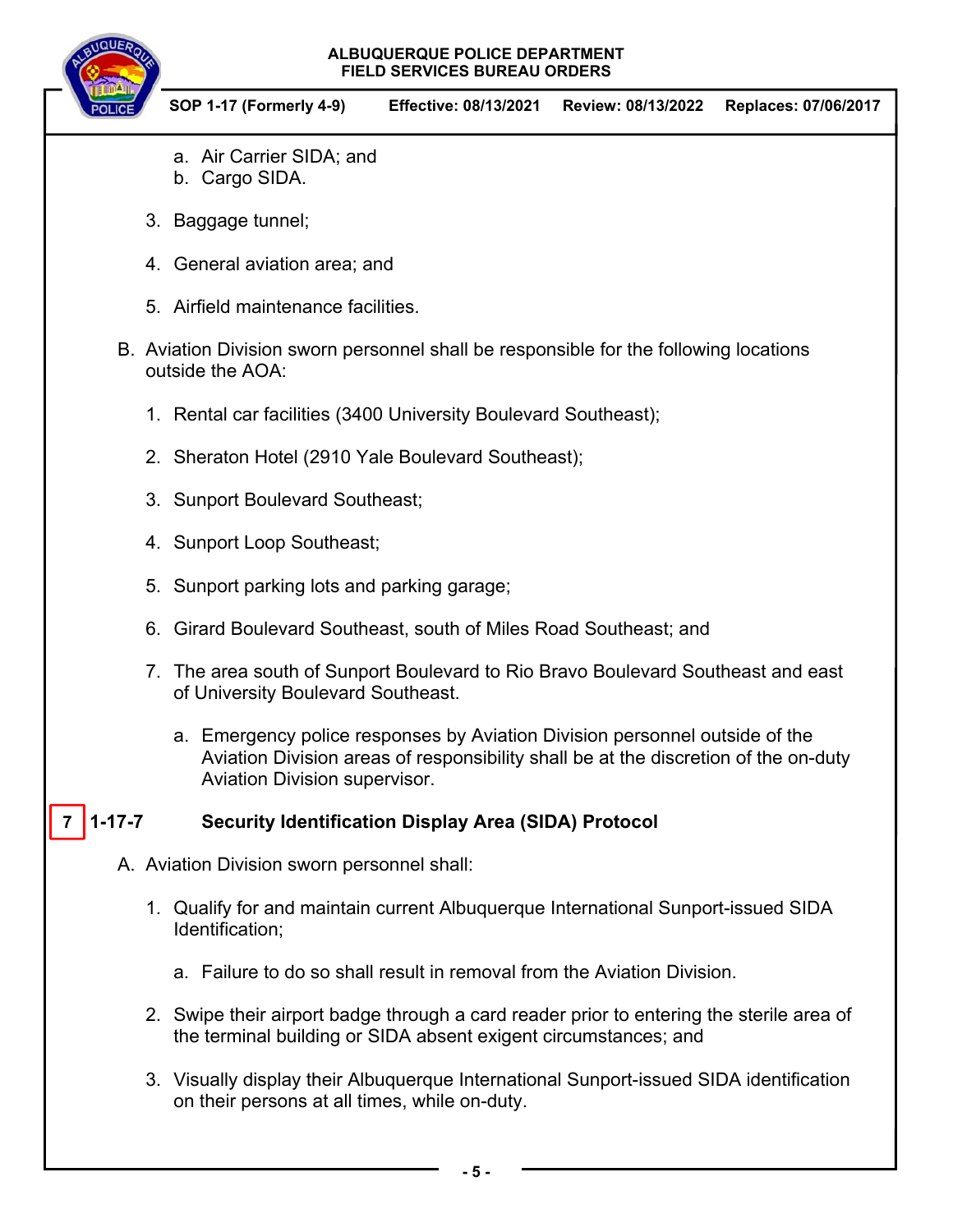

- a. Air Carrier SIDA; and
- b. Cargo SIDA.
- 3. Baggage tunnel;
- 4. General aviation area; and
- 5. Airfield maintenance facilities.
- B. Aviation Division sworn personnel shall be responsible for the following locations outside the AOA:
	- 1. Rental car facilities (3400 University Boulevard Southeast);
	- 2. Sheraton Hotel (2910 Yale Boulevard Southeast);
	- 3. Sunport Boulevard Southeast;
	- 4. Sunport Loop Southeast;
	- 5. Sunport parking lots and parking garage;
	- 6. Girard Boulevard Southeast, south of Miles Road Southeast; and
	- 7. The area south of Sunport Boulevard to Rio Bravo Boulevard Southeast and east of University Boulevard Southeast.
		- a. Emergency police responses by Aviation Division personnel outside of the Aviation Division areas of responsibility shall be at the discretion of the on-duty Aviation Division supervisor.

#### **1-17-5 Security Identification Display Area (SIDA) Protocol 7**

- A. Aviation Division sworn personnel shall:
	- 1. Qualify for and maintain current Albuquerque International Sunport-issued SIDA Identification;
		- a. Failure to do so shall result in removal from the Aviation Division.
	- 2. Swipe their airport badge through a card reader prior to entering the sterile area of the terminal building or SIDA absent exigent circumstances; and
	- 3. Visually display their Albuquerque International Sunport-issued SIDA identification on their persons at all times, while on-duty.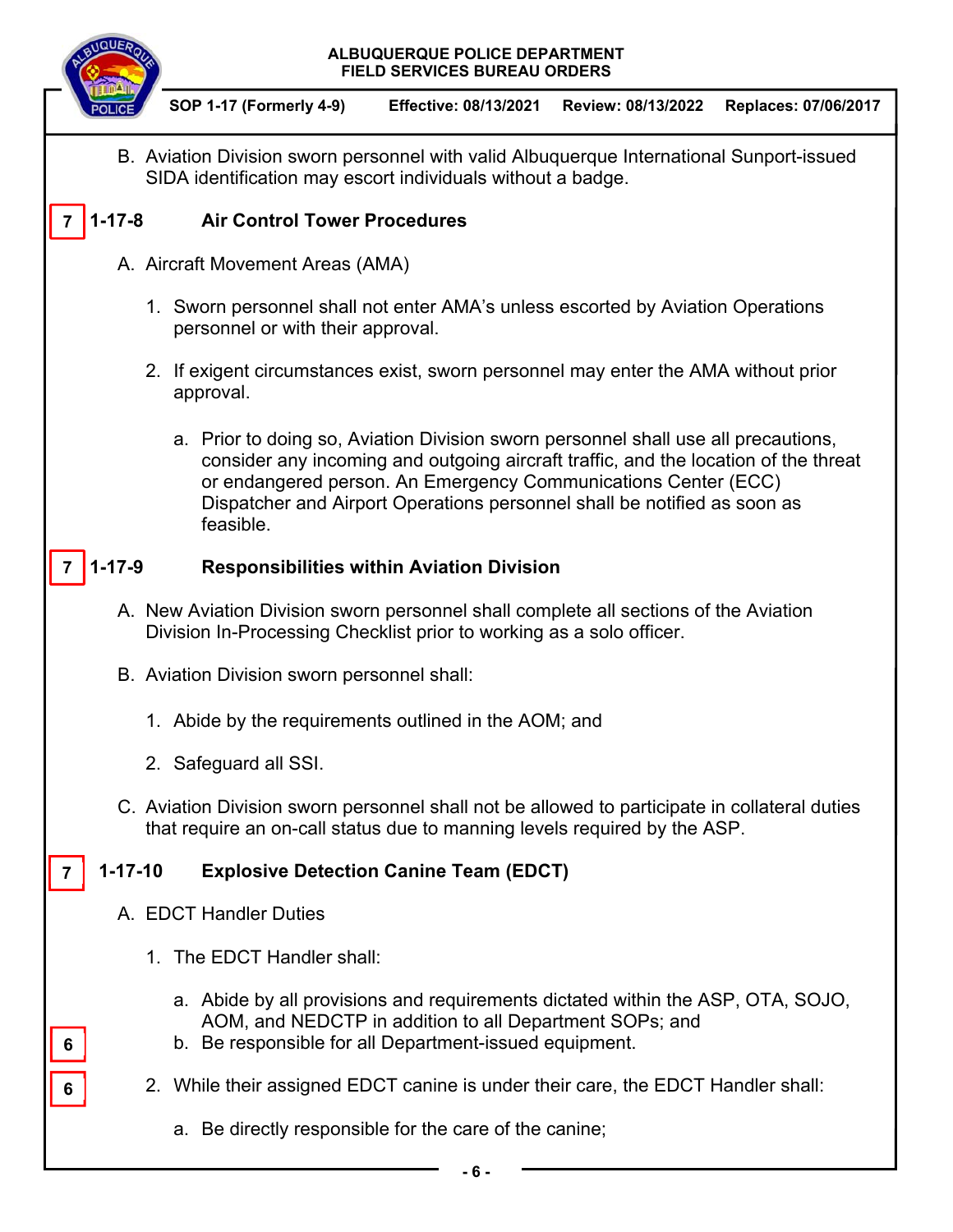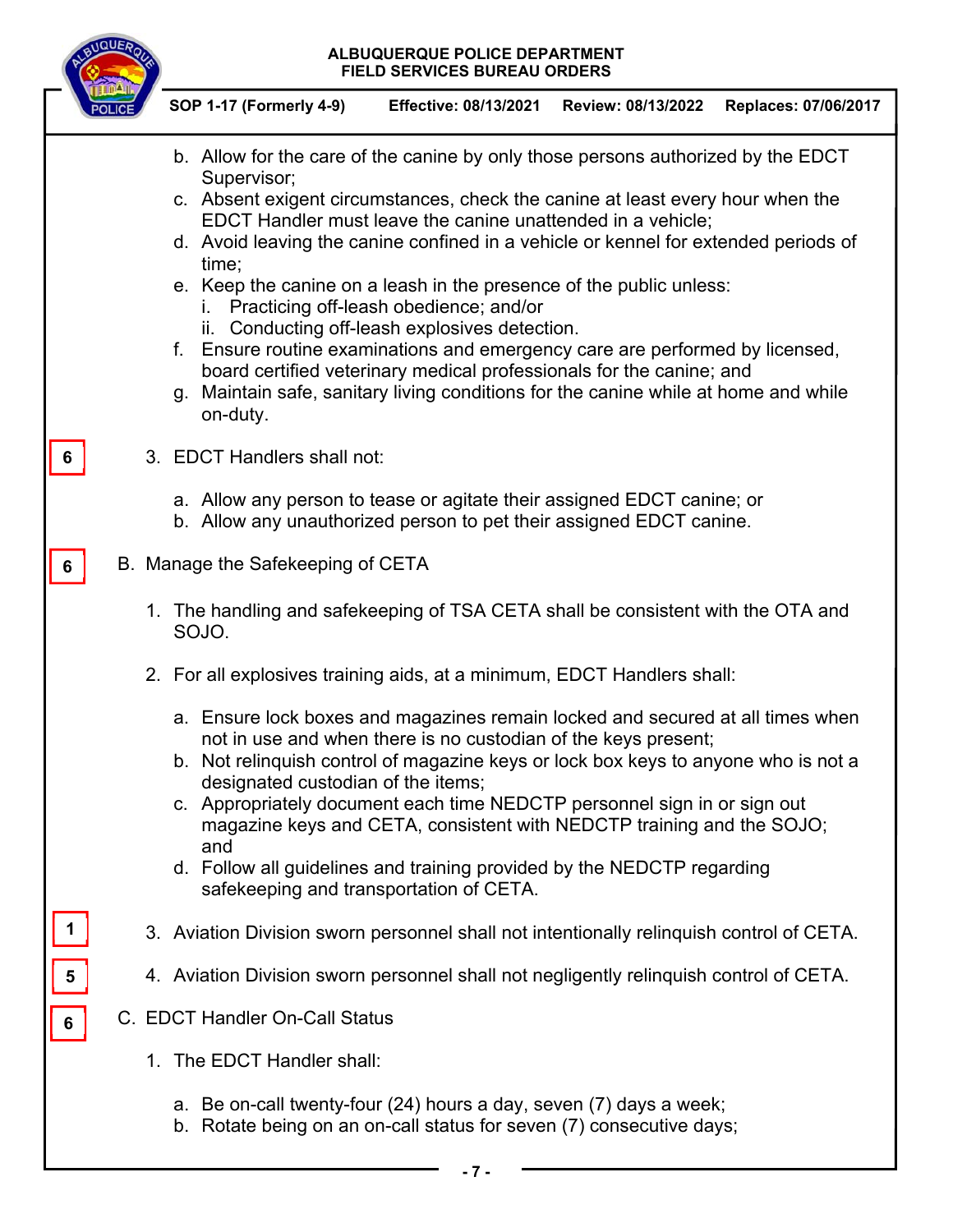|                | ALBUQUERQUE POLICE DEPARTMENT<br><b>FIELD SERVICES BUREAU ORDERS</b>                                                                                                                                                                                                                                                                                                                                                                                                                                                                                                                                                                                                                                                                                                                 |
|----------------|--------------------------------------------------------------------------------------------------------------------------------------------------------------------------------------------------------------------------------------------------------------------------------------------------------------------------------------------------------------------------------------------------------------------------------------------------------------------------------------------------------------------------------------------------------------------------------------------------------------------------------------------------------------------------------------------------------------------------------------------------------------------------------------|
|                | <b>SOP 1-17 (Formerly 4-9)</b><br><b>Effective: 08/13/2021</b><br>Review: 08/13/2022<br>Replaces: 07/06/2017                                                                                                                                                                                                                                                                                                                                                                                                                                                                                                                                                                                                                                                                         |
|                | b. Allow for the care of the canine by only those persons authorized by the EDCT<br>Supervisor;<br>c. Absent exigent circumstances, check the canine at least every hour when the<br>EDCT Handler must leave the canine unattended in a vehicle;<br>d. Avoid leaving the canine confined in a vehicle or kennel for extended periods of<br>time;<br>e. Keep the canine on a leash in the presence of the public unless:<br>i. Practicing off-leash obedience; and/or<br>ii. Conducting off-leash explosives detection.<br>Ensure routine examinations and emergency care are performed by licensed,<br>f.<br>board certified veterinary medical professionals for the canine; and<br>g. Maintain safe, sanitary living conditions for the canine while at home and while<br>on-duty. |
| 6              | 3. EDCT Handlers shall not:                                                                                                                                                                                                                                                                                                                                                                                                                                                                                                                                                                                                                                                                                                                                                          |
|                | a. Allow any person to tease or agitate their assigned EDCT canine; or<br>b. Allow any unauthorized person to pet their assigned EDCT canine.                                                                                                                                                                                                                                                                                                                                                                                                                                                                                                                                                                                                                                        |
| 6              | B. Manage the Safekeeping of CETA                                                                                                                                                                                                                                                                                                                                                                                                                                                                                                                                                                                                                                                                                                                                                    |
|                | 1. The handling and safekeeping of TSA CETA shall be consistent with the OTA and<br>SOJO.                                                                                                                                                                                                                                                                                                                                                                                                                                                                                                                                                                                                                                                                                            |
|                | 2. For all explosives training aids, at a minimum, EDCT Handlers shall:                                                                                                                                                                                                                                                                                                                                                                                                                                                                                                                                                                                                                                                                                                              |
|                | a. Ensure lock boxes and magazines remain locked and secured at all times when<br>not in use and when there is no custodian of the keys present;<br>b. Not relinquish control of magazine keys or lock box keys to anyone who is not a<br>designated custodian of the items;<br>c. Appropriately document each time NEDCTP personnel sign in or sign out<br>magazine keys and CETA, consistent with NEDCTP training and the SOJO;<br>and<br>d. Follow all guidelines and training provided by the NEDCTP regarding<br>safekeeping and transportation of CETA.                                                                                                                                                                                                                        |
|                | 3. Aviation Division sworn personnel shall not intentionally relinguish control of CETA.                                                                                                                                                                                                                                                                                                                                                                                                                                                                                                                                                                                                                                                                                             |
| $\frac{5}{1}$  | 4. Aviation Division sworn personnel shall not negligently relinquish control of CETA.                                                                                                                                                                                                                                                                                                                                                                                                                                                                                                                                                                                                                                                                                               |
| $6\phantom{1}$ | C. EDCT Handler On-Call Status                                                                                                                                                                                                                                                                                                                                                                                                                                                                                                                                                                                                                                                                                                                                                       |
|                | 1. The EDCT Handler shall:                                                                                                                                                                                                                                                                                                                                                                                                                                                                                                                                                                                                                                                                                                                                                           |
|                | a. Be on-call twenty-four (24) hours a day, seven (7) days a week;<br>b. Rotate being on an on-call status for seven (7) consecutive days;                                                                                                                                                                                                                                                                                                                                                                                                                                                                                                                                                                                                                                           |
|                | - 7 -                                                                                                                                                                                                                                                                                                                                                                                                                                                                                                                                                                                                                                                                                                                                                                                |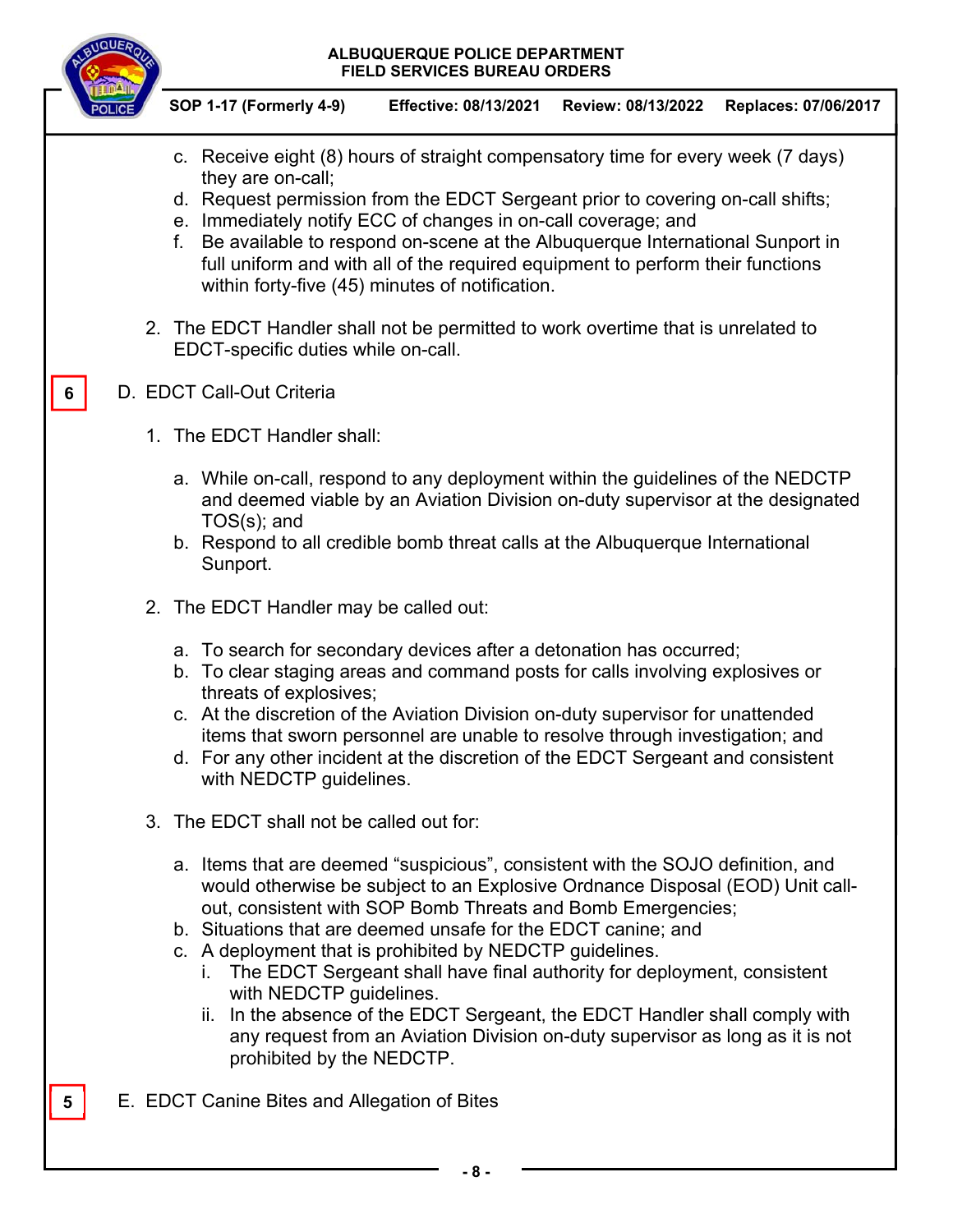

**6** 

**5** 

**SOP 1-17 (Formerly 4-9) Effective: 08/13/2021 Review: 08/13/2022 Replaces: 07/06/2017** 

- c. Receive eight (8) hours of straight compensatory time for every week (7 days) they are on-call;
- d. Request permission from the EDCT Sergeant prior to covering on-call shifts;
- e. Immediately notify ECC of changes in on-call coverage; and
- f. Be available to respond on-scene at the Albuquerque International Sunport in full uniform and with all of the required equipment to perform their functions within forty-five (45) minutes of notification.
- 2. The EDCT Handler shall not be permitted to work overtime that is unrelated to EDCT-specific duties while on-call.
- D. EDCT Call-Out Criteria
	- 1. The EDCT Handler shall:
		- a. While on-call, respond to any deployment within the guidelines of the NEDCTP and deemed viable by an Aviation Division on-duty supervisor at the designated TOS(s); and
		- b. Respond to all credible bomb threat calls at the Albuquerque International Sunport.
	- 2. The EDCT Handler may be called out:
		- a. To search for secondary devices after a detonation has occurred;
		- b. To clear staging areas and command posts for calls involving explosives or threats of explosives;
		- c. At the discretion of the Aviation Division on-duty supervisor for unattended items that sworn personnel are unable to resolve through investigation; and
		- d. For any other incident at the discretion of the EDCT Sergeant and consistent with NEDCTP guidelines.
	- 3. The EDCT shall not be called out for:
		- a. Items that are deemed "suspicious", consistent with the SOJO definition, and would otherwise be subject to an Explosive Ordnance Disposal (EOD) Unit callout, consistent with SOP Bomb Threats and Bomb Emergencies;
		- b. Situations that are deemed unsafe for the EDCT canine; and
		- c. A deployment that is prohibited by NEDCTP guidelines.
			- i. The EDCT Sergeant shall have final authority for deployment, consistent with NEDCTP guidelines.
			- ii. In the absence of the EDCT Sergeant, the EDCT Handler shall comply with any request from an Aviation Division on-duty supervisor as long as it is not prohibited by the NEDCTP.
- E. EDCT Canine Bites and Allegation of Bites